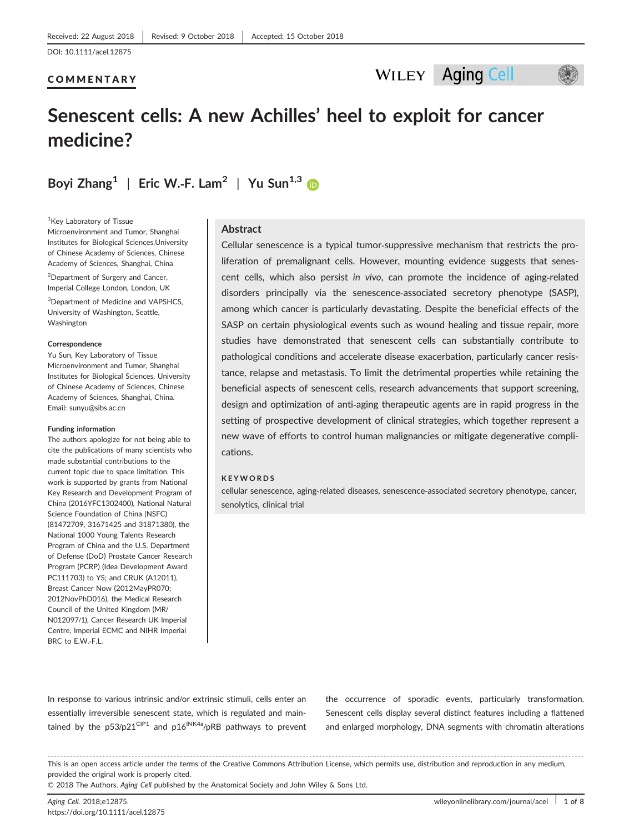### **COMMENTARY**

# **WILEY** Aging Cell

# **Senescent cells: A new Achilles' heel to exploit for cancer medicine?**

**Boyi Zhang<sup>1</sup>** <sup>|</sup> **Eric W.‐F. Lam<sup>2</sup>** <sup>|</sup> **Yu Sun1,3**

1 Key Laboratory of Tissue Microenvironment and Tumor, Shanghai Institutes for Biological Sciences,University of Chinese Academy of Sciences, Chinese Academy of Sciences, Shanghai, China

<sup>2</sup>Department of Surgery and Cancer, Imperial College London, London, UK

3 Department of Medicine and VAPSHCS, University of Washington, Seattle, Washington

#### **Correspondence**

Yu Sun, Key Laboratory of Tissue Microenvironment and Tumor, Shanghai Institutes for Biological Sciences, University of Chinese Academy of Sciences, Chinese Academy of Sciences, Shanghai, China. Email: sunyu@sibs.ac.cn

#### **Funding information**

The authors apologize for not being able to cite the publications of many scientists who made substantial contributions to the current topic due to space limitation. This work is supported by grants from National Key Research and Development Program of China (2016YFC1302400), National Natural Science Foundation of China (NSFC) (81472709, 31671425 and 31871380), the National 1000 Young Talents Research Program of China and the U.S. Department of Defense (DoD) Prostate Cancer Research Program (PCRP) (Idea Development Award PC111703) to YS; and CRUK (A12011), Breast Cancer Now (2012MayPR070; 2012NovPhD016), the Medical Research Council of the United Kingdom (MR/ N012097/1), Cancer Research UK Imperial Centre, Imperial ECMC and NIHR Imperial BRC to E.W.‐F.L.

### **Abstract**

Cellular senescence is a typical tumor‐suppressive mechanism that restricts the proliferation of premalignant cells. However, mounting evidence suggests that senescent cells, which also persist *in vivo*, can promote the incidence of aging‐related disorders principally via the senescence‐associated secretory phenotype (SASP), among which cancer is particularly devastating. Despite the beneficial effects of the SASP on certain physiological events such as wound healing and tissue repair, more studies have demonstrated that senescent cells can substantially contribute to pathological conditions and accelerate disease exacerbation, particularly cancer resistance, relapse and metastasis. To limit the detrimental properties while retaining the beneficial aspects of senescent cells, research advancements that support screening, design and optimization of anti‐aging therapeutic agents are in rapid progress in the setting of prospective development of clinical strategies, which together represent a new wave of efforts to control human malignancies or mitigate degenerative complications.

#### **KEYWORDS**

cellular senescence, aging‐related diseases, senescence‐associated secretory phenotype, cancer, senolytics, clinical trial

In response to various intrinsic and/or extrinsic stimuli, cells enter an essentially irreversible senescent state, which is regulated and maintained by the  $p53/p21^{\text{CIP1}}$  and  $p16^{\text{INKA}}/pRB$  pathways to prevent the occurrence of sporadic events, particularly transformation. Senescent cells display several distinct features including a flattened and enlarged morphology, DNA segments with chromatin alterations

------------------------------------------------------------------------------------------------------------------------------- --------------------------------------- This is an open access article under the terms of the [Creative Commons Attribution](http://creativecommons.org/licenses/by/4.0/) License, which permits use, distribution and reproduction in any medium, provided the original work is properly cited.

© 2018 The Authors. *Aging Cell* published by the Anatomical Society and John Wiley & Sons Ltd.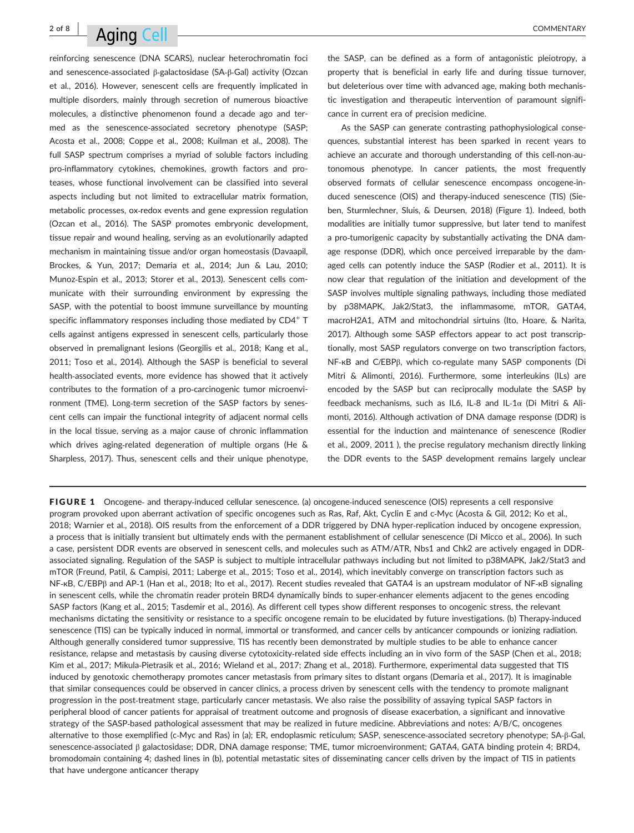## <sup>2 of 8</sup> | **Aging Coll COMMENTARY**

reinforcing senescence (DNA SCARS), nuclear heterochromatin foci and senescence‐associated β‐galactosidase (SA‐β‐Gal) activity (Ozcan et al., 2016). However, senescent cells are frequently implicated in multiple disorders, mainly through secretion of numerous bioactive molecules, a distinctive phenomenon found a decade ago and termed as the senescence‐associated secretory phenotype (SASP; Acosta et al., 2008; Coppe et al., 2008; Kuilman et al., 2008). The full SASP spectrum comprises a myriad of soluble factors including pro-inflammatory cytokines, chemokines, growth factors and proteases, whose functional involvement can be classified into several aspects including but not limited to extracellular matrix formation, metabolic processes, ox‐redox events and gene expression regulation (Ozcan et al., 2016). The SASP promotes embryonic development, tissue repair and wound healing, serving as an evolutionarily adapted mechanism in maintaining tissue and/or organ homeostasis (Davaapil, Brockes, & Yun, 2017; Demaria et al., 2014; Jun & Lau, 2010; Munoz‐Espin et al., 2013; Storer et al., 2013). Senescent cells communicate with their surrounding environment by expressing the SASP, with the potential to boost immune surveillance by mounting specific inflammatory responses including those mediated by CD4+ T cells against antigens expressed in senescent cells, particularly those observed in premalignant lesions (Georgilis et al., 2018; Kang et al., 2011; Toso et al., 2014). Although the SASP is beneficial to several health-associated events, more evidence has showed that it actively contributes to the formation of a pro‐carcinogenic tumor microenvironment (TME). Long-term secretion of the SASP factors by senescent cells can impair the functional integrity of adjacent normal cells in the local tissue, serving as a major cause of chronic inflammation which drives aging-related degeneration of multiple organs (He & Sharpless, 2017). Thus, senescent cells and their unique phenotype,

the SASP, can be defined as a form of antagonistic pleiotropy, a property that is beneficial in early life and during tissue turnover, but deleterious over time with advanced age, making both mechanistic investigation and therapeutic intervention of paramount significance in current era of precision medicine.

As the SASP can generate contrasting pathophysiological consequences, substantial interest has been sparked in recent years to achieve an accurate and thorough understanding of this cell-non-autonomous phenotype. In cancer patients, the most frequently observed formats of cellular senescence encompass oncogene‐induced senescence (OIS) and therapy‐induced senescence (TIS) (Sieben, Sturmlechner, Sluis, & Deursen, 2018) (Figure 1). Indeed, both modalities are initially tumor suppressive, but later tend to manifest a pro-tumorigenic capacity by substantially activating the DNA damage response (DDR), which once perceived irreparable by the damaged cells can potently induce the SASP (Rodier et al., 2011). It is now clear that regulation of the initiation and development of the SASP involves multiple signaling pathways, including those mediated by p38MAPK, Jak2/Stat3, the inflammasome, mTOR, GATA4, macroH2A1, ATM and mitochondrial sirtuins (Ito, Hoare, & Narita, 2017). Although some SASP effectors appear to act post transcriptionally, most SASP regulators converge on two transcription factors, NF-κB and C/EBPβ, which co-regulate many SASP components (Di Mitri & Alimonti, 2016). Furthermore, some interleukins (ILs) are encoded by the SASP but can reciprocally modulate the SASP by feedback mechanisms, such as IL6, IL‐8 and IL‐1α (Di Mitri & Alimonti, 2016). Although activation of DNA damage response (DDR) is essential for the induction and maintenance of senescence (Rodier et al., 2009, 2011 ), the precise regulatory mechanism directly linking the DDR events to the SASP development remains largely unclear

FIGURE 1 Oncogene- and therapy-induced cellular senescence. (a) oncogene-induced senescence (OIS) represents a cell responsive program provoked upon aberrant activation of specific oncogenes such as Ras, Raf, Akt, Cyclin E and c-Myc (Acosta & Gil, 2012; Ko et al., 2018; Warnier et al., 2018). OIS results from the enforcement of a DDR triggered by DNA hyper‐replication induced by oncogene expression, a process that is initially transient but ultimately ends with the permanent establishment of cellular senescence (Di Micco et al., 2006). In such a case, persistent DDR events are observed in senescent cells, and molecules such as ATM/ATR, Nbs1 and Chk2 are actively engaged in DDR‐ associated signaling. Regulation of the SASP is subject to multiple intracellular pathways including but not limited to p38MAPK, Jak2/Stat3 and mTOR (Freund, Patil, & Campisi, 2011; Laberge et al., 2015; Toso et al., 2014), which inevitably converge on transcription factors such as NF-κB, C/EBPβ and AP-1 (Han et al., 2018; Ito et al., 2017). Recent studies revealed that GATA4 is an upstream modulator of NF-κB signaling in senescent cells, while the chromatin reader protein BRD4 dynamically binds to super‐enhancer elements adjacent to the genes encoding SASP factors (Kang et al., 2015; Tasdemir et al., 2016). As different cell types show different responses to oncogenic stress, the relevant mechanisms dictating the sensitivity or resistance to a specific oncogene remain to be elucidated by future investigations. (b) Therapy-induced senescence (TIS) can be typically induced in normal, immortal or transformed, and cancer cells by anticancer compounds or ionizing radiation. Although generally considered tumor suppressive, TIS has recently been demonstrated by multiple studies to be able to enhance cancer resistance, relapse and metastasis by causing diverse cytotoxicity-related side effects including an in vivo form of the SASP (Chen et al., 2018; Kim et al., 2017; Mikula‐Pietrasik et al., 2016; Wieland et al., 2017; Zhang et al., 2018). Furthermore, experimental data suggested that TIS induced by genotoxic chemotherapy promotes cancer metastasis from primary sites to distant organs (Demaria et al., 2017). It is imaginable that similar consequences could be observed in cancer clinics, a process driven by senescent cells with the tendency to promote malignant progression in the post-treatment stage, particularly cancer metastasis. We also raise the possibility of assaying typical SASP factors in peripheral blood of cancer patients for appraisal of treatment outcome and prognosis of disease exacerbation, a significant and innovative strategy of the SASP‐based pathological assessment that may be realized in future medicine. Abbreviations and notes: A/B/C, oncogenes alternative to those exemplified (c‐Myc and Ras) in (a); ER, endoplasmic reticulum; SASP, senescence‐associated secretory phenotype; SA‐β‐Gal, senescence-associated β galactosidase; DDR, DNA damage response; TME, tumor microenvironment; GATA4, GATA binding protein 4; BRD4, bromodomain containing 4; dashed lines in (b), potential metastatic sites of disseminating cancer cells driven by the impact of TIS in patients that have undergone anticancer therapy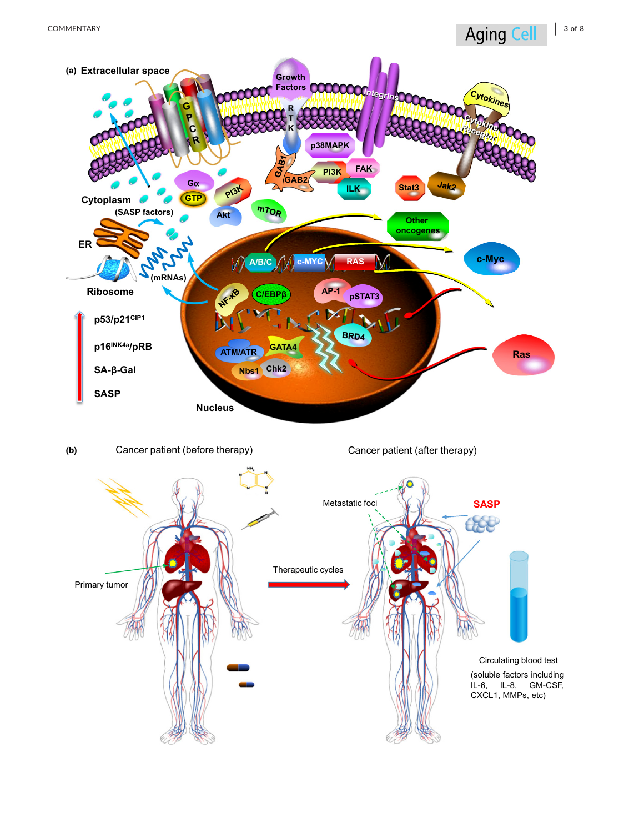

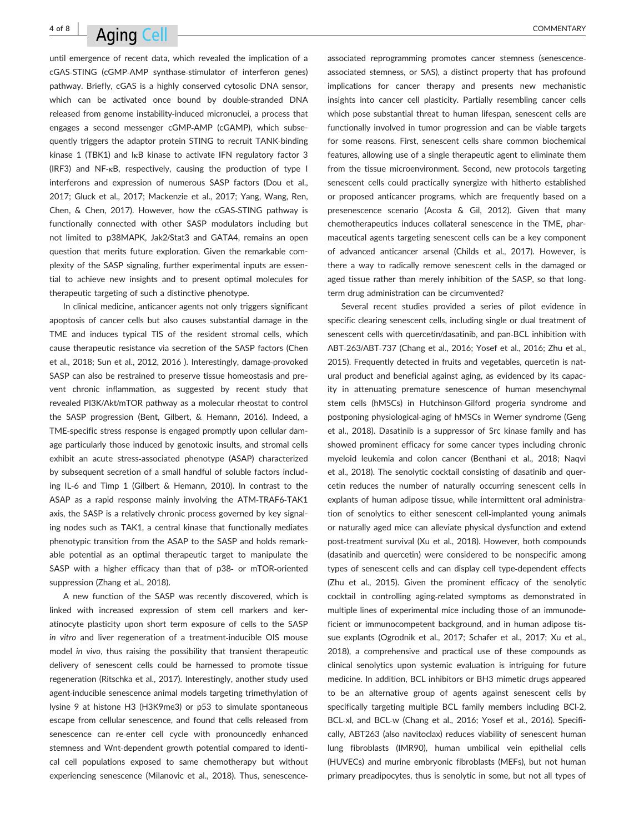## <sup>4 of 8</sup> | **Aging Coll COMMENTARY**

until emergence of recent data, which revealed the implication of a cGAS‐STING (cGMP‐AMP synthase‐stimulator of interferon genes) pathway. Briefly, cGAS is a highly conserved cytosolic DNA sensor, which can be activated once bound by double‐stranded DNA released from genome instability‐induced micronuclei, a process that engages a second messenger cGMP‐AMP (cGAMP), which subsequently triggers the adaptor protein STING to recruit TANK‐binding kinase 1 (TBK1) and IκB kinase to activate IFN regulatory factor 3 (IRF3) and NF‐κB, respectively, causing the production of type I interferons and expression of numerous SASP factors (Dou et al., 2017; Gluck et al., 2017; Mackenzie et al., 2017; Yang, Wang, Ren, Chen, & Chen, 2017). However, how the cGAS‐STING pathway is functionally connected with other SASP modulators including but not limited to p38MAPK, Jak2/Stat3 and GATA4, remains an open question that merits future exploration. Given the remarkable complexity of the SASP signaling, further experimental inputs are essential to achieve new insights and to present optimal molecules for therapeutic targeting of such a distinctive phenotype.

In clinical medicine, anticancer agents not only triggers significant apoptosis of cancer cells but also causes substantial damage in the TME and induces typical TIS of the resident stromal cells, which cause therapeutic resistance via secretion of the SASP factors (Chen et al., 2018; Sun et al., 2012, 2016 ). Interestingly, damage‐provoked SASP can also be restrained to preserve tissue homeostasis and prevent chronic inflammation, as suggested by recent study that revealed PI3K/Akt/mTOR pathway as a molecular rheostat to control the SASP progression (Bent, Gilbert, & Hemann, 2016). Indeed, a TME‐specific stress response is engaged promptly upon cellular damage particularly those induced by genotoxic insults, and stromal cells exhibit an acute stress‐associated phenotype (ASAP) characterized by subsequent secretion of a small handful of soluble factors including IL‐6 and Timp 1 (Gilbert & Hemann, 2010). In contrast to the ASAP as a rapid response mainly involving the ATM‐TRAF6‐TAK1 axis, the SASP is a relatively chronic process governed by key signaling nodes such as TAK1, a central kinase that functionally mediates phenotypic transition from the ASAP to the SASP and holds remarkable potential as an optimal therapeutic target to manipulate the SASP with a higher efficacy than that of p38‐ or mTOR‐oriented suppression (Zhang et al., 2018).

A new function of the SASP was recently discovered, which is linked with increased expression of stem cell markers and keratinocyte plasticity upon short term exposure of cells to the SASP *in vitro* and liver regeneration of a treatment‐inducible OIS mouse model *in vivo*, thus raising the possibility that transient therapeutic delivery of senescent cells could be harnessed to promote tissue regeneration (Ritschka et al., 2017). Interestingly, another study used agent‐inducible senescence animal models targeting trimethylation of lysine 9 at histone H3 (H3K9me3) or p53 to simulate spontaneous escape from cellular senescence, and found that cells released from senescence can re-enter cell cycle with pronouncedly enhanced stemness and Wnt‐dependent growth potential compared to identical cell populations exposed to same chemotherapy but without experiencing senescence (Milanovic et al., 2018). Thus, senescence‐

associated reprogramming promotes cancer stemness (senescence‐ associated stemness, or SAS), a distinct property that has profound implications for cancer therapy and presents new mechanistic insights into cancer cell plasticity. Partially resembling cancer cells which pose substantial threat to human lifespan, senescent cells are functionally involved in tumor progression and can be viable targets for some reasons. First, senescent cells share common biochemical features, allowing use of a single therapeutic agent to eliminate them from the tissue microenvironment. Second, new protocols targeting senescent cells could practically synergize with hitherto established or proposed anticancer programs, which are frequently based on a presenescence scenario (Acosta & Gil, 2012). Given that many chemotherapeutics induces collateral senescence in the TME, pharmaceutical agents targeting senescent cells can be a key component of advanced anticancer arsenal (Childs et al., 2017). However, is there a way to radically remove senescent cells in the damaged or aged tissue rather than merely inhibition of the SASP, so that longterm drug administration can be circumvented?

Several recent studies provided a series of pilot evidence in specific clearing senescent cells, including single or dual treatment of senescent cells with quercetin/dasatinib, and pan‐BCL inhibition with ABT‐263/ABT‐737 (Chang et al., 2016; Yosef et al., 2016; Zhu et al., 2015). Frequently detected in fruits and vegetables, quercetin is natural product and beneficial against aging, as evidenced by its capacity in attenuating premature senescence of human mesenchymal stem cells (hMSCs) in Hutchinson‐Gilford progeria syndrome and postponing physiological‐aging of hMSCs in Werner syndrome (Geng et al., 2018). Dasatinib is a suppressor of Src kinase family and has showed prominent efficacy for some cancer types including chronic myeloid leukemia and colon cancer (Benthani et al., 2018; Naqvi et al., 2018). The senolytic cocktail consisting of dasatinib and quercetin reduces the number of naturally occurring senescent cells in explants of human adipose tissue, while intermittent oral administration of senolytics to either senescent cell-implanted young animals or naturally aged mice can alleviate physical dysfunction and extend post-treatment survival (Xu et al., 2018). However, both compounds (dasatinib and quercetin) were considered to be nonspecific among types of senescent cells and can display cell type‐dependent effects (Zhu et al., 2015). Given the prominent efficacy of the senolytic cocktail in controlling aging‐related symptoms as demonstrated in multiple lines of experimental mice including those of an immunodeficient or immunocompetent background, and in human adipose tissue explants (Ogrodnik et al., 2017; Schafer et al., 2017; Xu et al., 2018), a comprehensive and practical use of these compounds as clinical senolytics upon systemic evaluation is intriguing for future medicine. In addition, BCL inhibitors or BH3 mimetic drugs appeared to be an alternative group of agents against senescent cells by specifically targeting multiple BCL family members including BCl‐2, BCL-xl, and BCL-w (Chang et al., 2016; Yosef et al., 2016). Specifically, ABT263 (also navitoclax) reduces viability of senescent human lung fibroblasts (IMR90), human umbilical vein epithelial cells (HUVECs) and murine embryonic fibroblasts (MEFs), but not human primary preadipocytes, thus is senolytic in some, but not all types of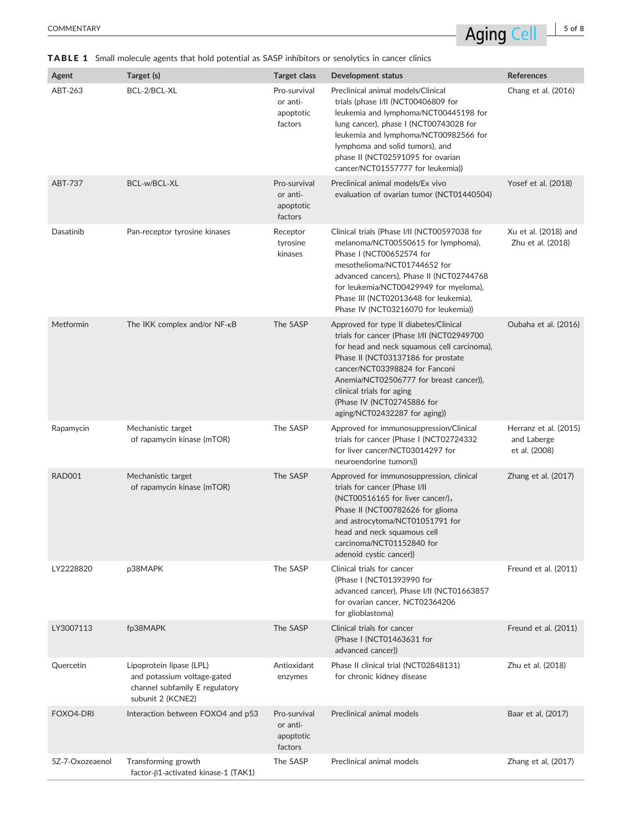TABLE 1 Small molecule agents that hold potential as SASP inhibitors or senolytics in cancer clinics

| Agent           | Target (s)                                                                                                     | <b>Target class</b>                              | Development status                                                                                                                                                                                                                                                                                                                                 | <b>References</b>                                     |
|-----------------|----------------------------------------------------------------------------------------------------------------|--------------------------------------------------|----------------------------------------------------------------------------------------------------------------------------------------------------------------------------------------------------------------------------------------------------------------------------------------------------------------------------------------------------|-------------------------------------------------------|
| ABT-263         | BCL-2/BCL-XL                                                                                                   | Pro-survival<br>or anti-<br>apoptotic<br>factors | Preclinical animal models/Clinical<br>trials (phase I/II (NCT00406809 for<br>leukemia and lymphoma/NCT00445198 for<br>lung cancer), phase I (NCT00743028 for<br>leukemia and lymphoma/NCT00982566 for<br>lymphoma and solid tumors), and<br>phase II (NCT02591095 for ovarian<br>cancer/NCT01557777 for leukemia))                                 | Chang et al. (2016)                                   |
| ABT-737         | BCL-w/BCL-XL                                                                                                   | Pro-survival<br>or anti-<br>apoptotic<br>factors | Preclinical animal models/Ex vivo<br>evaluation of ovarian tumor (NCT01440504)                                                                                                                                                                                                                                                                     | Yosef et al. (2018)                                   |
| Dasatinib       | Pan-receptor tyrosine kinases                                                                                  | Receptor<br>tyrosine<br>kinases                  | Clinical trials (Phase I/II (NCT00597038 for<br>melanoma/NCT00550615 for lymphoma),<br>Phase I (NCT00652574 for<br>mesothelioma/NCT01744652 for<br>advanced cancers), Phase II (NCT02744768<br>for leukemia/NCT00429949 for myeloma),<br>Phase III (NCT02013648 for leukemia),<br>Phase IV (NCT03216070 for leukemia))                             | Xu et al. (2018) and<br>Zhu et al. (2018)             |
| Metformin       | The IKK complex and/or NF-KB                                                                                   | The SASP                                         | Approved for type II diabetes/Clinical<br>trials for cancer (Phase I/II (NCT02949700<br>for head and neck squamous cell carcinoma),<br>Phase II (NCT03137186 for prostate<br>cancer/NCT03398824 for Fanconi<br>Anemia/NCT02506777 for breast cancer)),<br>clinical trials for aging<br>(Phase IV (NCT02745886 for<br>aging/NCT02432287 for aging)) | Oubaha et al. (2016)                                  |
| Rapamycin       | Mechanistic target<br>of rapamycin kinase (mTOR)                                                               | The SASP                                         | Approved for immunosuppression/Clinical<br>trials for cancer (Phase I (NCT02724332<br>for liver cancer/NCT03014297 for<br>neuroendorine tumors))                                                                                                                                                                                                   | Herranz et al. (2015)<br>and Laberge<br>et al. (2008) |
| <b>RAD001</b>   | Mechanistic target<br>of rapamycin kinase (mTOR)                                                               | The SASP                                         | Approved for immunosuppression, clinical<br>trials for cancer (Phase I/II<br>(NCT00516165 for liver cancer/),<br>Phase II (NCT00782626 for glioma<br>and astrocytoma/NCT01051791 for<br>head and neck squamous cell<br>carcinoma/NCT01152840 for<br>adenoid cystic cancer))                                                                        | Zhang et al. (2017)                                   |
| LY2228820       | p38MAPK                                                                                                        | The SASP                                         | Clinical trials for cancer<br>(Phase I (NCT01393990 for<br>advanced cancer), Phase I/II (NCT01663857<br>for ovarian cancer, NCT02364206<br>for glioblastoma)                                                                                                                                                                                       | Freund et al. (2011)                                  |
| LY3007113       | fp38MAPK                                                                                                       | The SASP                                         | Clinical trials for cancer<br>(Phase I (NCT01463631 for<br>advanced cancer))                                                                                                                                                                                                                                                                       | Freund et al. (2011)                                  |
| Quercetin       | Lipoprotein lipase (LPL)<br>and potassium voltage-gated<br>channel subfamily E regulatory<br>subunit 2 (KCNE2) | Antioxidant<br>enzymes                           | Phase II clinical trial (NCT02848131)<br>for chronic kidney disease                                                                                                                                                                                                                                                                                | Zhu et al. (2018)                                     |
| FOXO4-DRI       | Interaction between FOXO4 and p53                                                                              | Pro-survival<br>or anti-<br>apoptotic<br>factors | Preclinical animal models                                                                                                                                                                                                                                                                                                                          | Baar et al, (2017)                                    |
| 5Z-7-Oxozeaenol | Transforming growth<br>factor-β1-activated kinase-1 (TAK1)                                                     | The SASP                                         | Preclinical animal models                                                                                                                                                                                                                                                                                                                          | Zhang et al, (2017)                                   |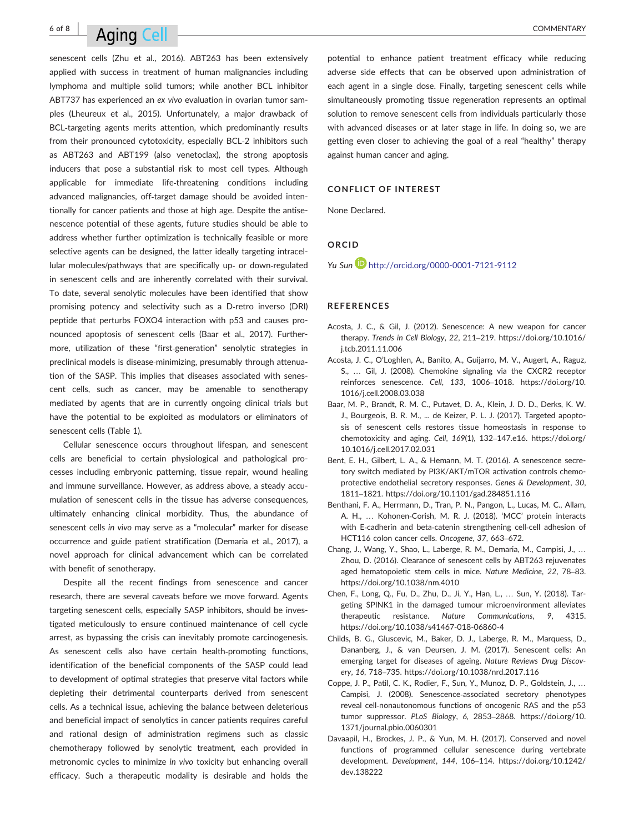# **6 of 8** | Aging Cell **COMMENTARY**

senescent cells (Zhu et al., 2016). ABT263 has been extensively applied with success in treatment of human malignancies including lymphoma and multiple solid tumors; while another BCL inhibitor ABT737 has experienced an *ex vivo* evaluation in ovarian tumor samples (Lheureux et al., 2015). Unfortunately, a major drawback of BCL-targeting agents merits attention, which predominantly results from their pronounced cytotoxicity, especially BCL‐2 inhibitors such as ABT263 and ABT199 (also venetoclax), the strong apoptosis inducers that pose a substantial risk to most cell types. Although applicable for immediate life‐threatening conditions including advanced malignancies, off-target damage should be avoided intentionally for cancer patients and those at high age. Despite the antisenescence potential of these agents, future studies should be able to address whether further optimization is technically feasible or more selective agents can be designed, the latter ideally targeting intracellular molecules/pathways that are specifically up‐ or down‐regulated in senescent cells and are inherently correlated with their survival. To date, several senolytic molecules have been identified that show promising potency and selectivity such as a D‐retro inverso (DRI) peptide that perturbs FOXO4 interaction with p53 and causes pronounced apoptosis of senescent cells (Baar et al., 2017). Furthermore, utilization of these "first‐generation" senolytic strategies in preclinical models is disease‐minimizing, presumably through attenuation of the SASP. This implies that diseases associated with senescent cells, such as cancer, may be amenable to senotherapy mediated by agents that are in currently ongoing clinical trials but have the potential to be exploited as modulators or eliminators of senescent cells (Table 1).

Cellular senescence occurs throughout lifespan, and senescent cells are beneficial to certain physiological and pathological processes including embryonic patterning, tissue repair, wound healing and immune surveillance. However, as address above, a steady accumulation of senescent cells in the tissue has adverse consequences, ultimately enhancing clinical morbidity. Thus, the abundance of senescent cells *in vivo* may serve as a "molecular" marker for disease occurrence and guide patient stratification (Demaria et al., 2017), a novel approach for clinical advancement which can be correlated with benefit of senotherapy.

Despite all the recent findings from senescence and cancer research, there are several caveats before we move forward. Agents targeting senescent cells, especially SASP inhibitors, should be investigated meticulously to ensure continued maintenance of cell cycle arrest, as bypassing the crisis can inevitably promote carcinogenesis. As senescent cells also have certain health-promoting functions, identification of the beneficial components of the SASP could lead to development of optimal strategies that preserve vital factors while depleting their detrimental counterparts derived from senescent cells. As a technical issue, achieving the balance between deleterious and beneficial impact of senolytics in cancer patients requires careful and rational design of administration regimens such as classic chemotherapy followed by senolytic treatment, each provided in metronomic cycles to minimize *in vivo* toxicity but enhancing overall efficacy. Such a therapeutic modality is desirable and holds the

potential to enhance patient treatment efficacy while reducing adverse side effects that can be observed upon administration of each agent in a single dose. Finally, targeting senescent cells while simultaneously promoting tissue regeneration represents an optimal solution to remove senescent cells from individuals particularly those with advanced diseases or at later stage in life. In doing so, we are getting even closer to achieving the goal of a real "healthy" therapy against human cancer and aging.

### **CONFLICT OF INTEREST**

None Declared.

### **ORCID**

*Yu Sun* http://orcid.org/0000-0001-7121-9112

### **REFERENCES**

- Acosta, J. C., & Gil, J. (2012). Senescence: A new weapon for cancer therapy. *Trends in Cell Biology*, *22*, 211–219. [https://doi.org/10.1016/](https://doi.org/10.1016/j.tcb.2011.11.006) [j.tcb.2011.11.006](https://doi.org/10.1016/j.tcb.2011.11.006)
- Acosta, J. C., O'Loghlen, A., Banito, A., Guijarro, M. V., Augert, A., Raguz, S., … Gil, J. (2008). Chemokine signaling via the CXCR2 receptor reinforces senescence. *Cell*, *133*, 1006–1018. [https://doi.org/10.](https://doi.org/10.1016/j.cell.2008.03.038) [1016/j.cell.2008.03.038](https://doi.org/10.1016/j.cell.2008.03.038)
- Baar, M. P., Brandt, R. M. C., Putavet, D. A., Klein, J. D. D., Derks, K. W. J., Bourgeois, B. R. M., ... de Keizer, P. L. J. (2017). Targeted apoptosis of senescent cells restores tissue homeostasis in response to chemotoxicity and aging. *Cell*, *169*(1), 132–147.e16. [https://doi.org/](https://doi.org/10.1016/j.cell.2017.02.031) [10.1016/j.cell.2017.02.031](https://doi.org/10.1016/j.cell.2017.02.031)
- Bent, E. H., Gilbert, L. A., & Hemann, M. T. (2016). A senescence secretory switch mediated by PI3K/AKT/mTOR activation controls chemoprotective endothelial secretory responses. *Genes & Development*, *30*, 1811–1821.<https://doi.org/10.1101/gad.284851.116>
- Benthani, F. A., Herrmann, D., Tran, P. N., Pangon, L., Lucas, M. C., Allam, A. H., … Kohonen‐Corish, M. R. J. (2018). 'MCC' protein interacts with E-cadherin and beta-catenin strengthening cell-cell adhesion of HCT116 colon cancer cells. *Oncogene*, *37*, 663–672.
- Chang, J., Wang, Y., Shao, L., Laberge, R. M., Demaria, M., Campisi, J., … Zhou, D. (2016). Clearance of senescent cells by ABT263 rejuvenates aged hematopoietic stem cells in mice. *Nature Medicine*, *22*, 78–83. <https://doi.org/10.1038/nm.4010>
- Chen, F., Long, Q., Fu, D., Zhu, D., Ji, Y., Han, L., … Sun, Y. (2018). Targeting SPINK1 in the damaged tumour microenvironment alleviates therapeutic resistance. *Nature Communications*, *9*, 4315. https://doi.org/10.1038/s41467-018-06860-4
- Childs, B. G., Gluscevic, M., Baker, D. J., Laberge, R. M., Marquess, D., Dananberg, J., & van Deursen, J. M. (2017). Senescent cells: An emerging target for diseases of ageing. *Nature Reviews Drug Discovery*, *16*, 718–735.<https://doi.org/10.1038/nrd.2017.116>
- Coppe, J. P., Patil, C. K., Rodier, F., Sun, Y., Munoz, D. P., Goldstein, J., … Campisi, J. (2008). Senescence‐associated secretory phenotypes reveal cell‐nonautonomous functions of oncogenic RAS and the p53 tumor suppressor. *PLoS Biology*, *6*, 2853–2868. [https://doi.org/10.](https://doi.org/10.1371/journal.pbio.0060301) [1371/journal.pbio.0060301](https://doi.org/10.1371/journal.pbio.0060301)
- Davaapil, H., Brockes, J. P., & Yun, M. H. (2017). Conserved and novel functions of programmed cellular senescence during vertebrate development. *Development*, *144*, 106–114. [https://doi.org/10.1242/](https://doi.org/10.1242/dev.138222) [dev.138222](https://doi.org/10.1242/dev.138222)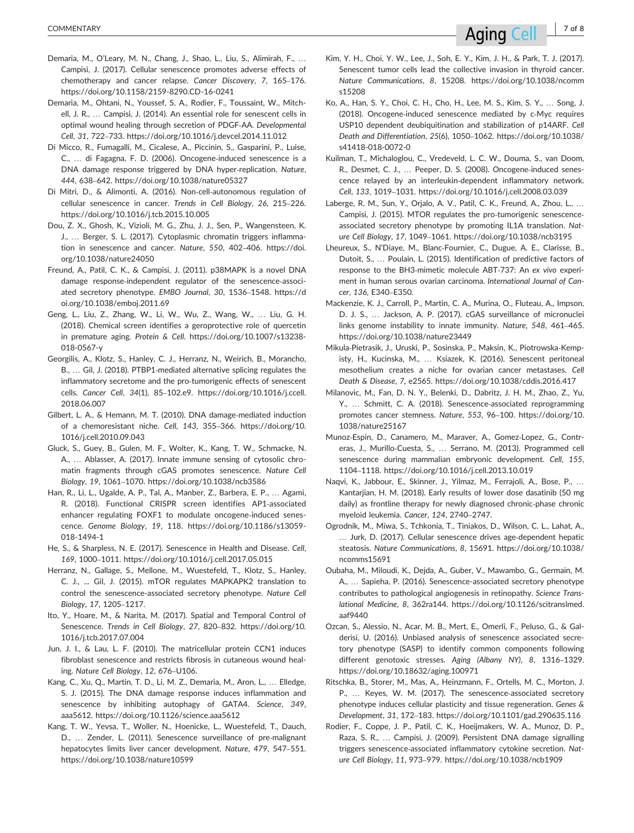- Demaria, M., O'Leary, M. N., Chang, J., Shao, L., Liu, S., Alimirah, F., … Campisi, J. (2017). Cellular senescence promotes adverse effects of chemotherapy and cancer relapse. *Cancer Discovery*, *7*, 165–176. <https://doi.org/10.1158/2159-8290.CD-16-0241>
- Demaria, M., Ohtani, N., Youssef, S. A., Rodier, F., Toussaint, W., Mitchell, J. R., … Campisi, J. (2014). An essential role for senescent cells in optimal wound healing through secretion of PDGF‐AA. *Developmental Cell*, *31*, 722–733.<https://doi.org/10.1016/j.devcel.2014.11.012>
- Di Micco, R., Fumagalli, M., Cicalese, A., Piccinin, S., Gasparini, P., Luise, C., … di Fagagna, F. D. (2006). Oncogene‐induced senescence is a DNA damage response triggered by DNA hyper‐replication. *Nature*, *444*, 638–642.<https://doi.org/10.1038/nature05327>
- Di Mitri, D., & Alimonti, A. (2016). Non-cell-autonomous regulation of cellular senescence in cancer. *Trends in Cell Biology*, *26*, 215–226. <https://doi.org/10.1016/j.tcb.2015.10.005>
- Dou, Z. X., Ghosh, K., Vizioli, M. G., Zhu, J. J., Sen, P., Wangensteen, K. J., … Berger, S. L. (2017). Cytoplasmic chromatin triggers inflammation in senescence and cancer. *Nature*, *550*, 402–406. [https://doi.](https://doi.org/10.1038/nature24050) [org/10.1038/nature24050](https://doi.org/10.1038/nature24050)
- Freund, A., Patil, C. K., & Campisi, J. (2011). p38MAPK is a novel DNA damage response‐independent regulator of the senescence‐associated secretory phenotype. *EMBO Journal*, *30*, 1536–1548. [https://d](https://doi.org/10.1038/emboj.2011.69) [oi.org/10.1038/emboj.2011.69](https://doi.org/10.1038/emboj.2011.69)
- Geng, L., Liu, Z., Zhang, W., Li, W., Wu, Z., Wang, W., … Liu, G. H. (2018). Chemical screen identifies a geroprotective role of quercetin in premature aging. *Protein & Cell*. https://doi.org/10.1007/s13238- 018-0567-y
- Georgilis, A., Klotz, S., Hanley, C. J., Herranz, N., Weirich, B., Morancho, B., … Gil, J. (2018). PTBP1‐mediated alternative splicing regulates the inflammatory secretome and the pro‐tumorigenic effects of senescent cells. *Cancer Cell*, *34*(1), 85–102.e9. [https://doi.org/10.1016/j.ccell.](https://doi.org/10.1016/j.ccell.2018.06.007) [2018.06.007](https://doi.org/10.1016/j.ccell.2018.06.007)
- Gilbert, L. A., & Hemann, M. T. (2010). DNA damage‐mediated induction of a chemoresistant niche. *Cell*, *143*, 355–366. [https://doi.org/10.](https://doi.org/10.1016/j.cell.2010.09.043) [1016/j.cell.2010.09.043](https://doi.org/10.1016/j.cell.2010.09.043)
- Gluck, S., Guey, B., Gulen, M. F., Wolter, K., Kang, T. W., Schmacke, N. A., … Ablasser, A. (2017). Innate immune sensing of cytosolic chromatin fragments through cGAS promotes senescence. *Nature Cell Biology*, *19*, 1061–1070.<https://doi.org/10.1038/ncb3586>
- Han, R., Li, L., Ugalde, A. P., Tal, A., Manber, Z., Barbera, E. P., … Agami, R. (2018). Functional CRISPR screen identifies AP1‐associated enhancer regulating FOXF1 to modulate oncogene-induced senescence. *Genome Biology*, *19*, 118. [https://doi.org/10.1186/s13059-](https://doi.org/10.1186/s13059-018-1494-1) [018-1494-1](https://doi.org/10.1186/s13059-018-1494-1)
- He, S., & Sharpless, N. E. (2017). Senescence in Health and Disease. *Cell*, *169*, 1000–1011.<https://doi.org/10.1016/j.cell.2017.05.015>
- Herranz, N., Gallage, S., Mellone, M., Wuestefeld, T., Klotz, S., Hanley, C. J., ... Gil, J. (2015). mTOR regulates MAPKAPK2 translation to control the senescence-associated secretory phenotype. *Nature Cell Biology*, *17*, 1205–1217.
- Ito, Y., Hoare, M., & Narita, M. (2017). Spatial and Temporal Control of Senescence. *Trends in Cell Biology*, *27*, 820–832. [https://doi.org/10.](https://doi.org/10.1016/j.tcb.2017.07.004) [1016/j.tcb.2017.07.004](https://doi.org/10.1016/j.tcb.2017.07.004)
- Jun, J. I., & Lau, L. F. (2010). The matricellular protein CCN1 induces fibroblast senescence and restricts fibrosis in cutaneous wound healing. *Nature Cell Biology*, *12*, 676–U106.
- Kang, C., Xu, Q., Martin, T. D., Li, M. Z., Demaria, M., Aron, L., … Elledge, S. J. (2015). The DNA damage response induces inflammation and senescence by inhibiting autophagy of GATA4. *Science*, *349*, aaa5612.<https://doi.org/10.1126/science.aaa5612>
- Kang, T. W., Yevsa, T., Woller, N., Hoenicke, L., Wuestefeld, T., Dauch, D., ... Zender, L. (2011). Senescence surveillance of pre-malignant hepatocytes limits liver cancer development. *Nature*, *479*, 547–551. <https://doi.org/10.1038/nature10599>
- Kim, Y. H., Choi, Y. W., Lee, J., Soh, E. Y., Kim, J. H., & Park, T. J. (2017). Senescent tumor cells lead the collective invasion in thyroid cancer. *Nature Communications*, *8*, 15208. [https://doi.org/10.1038/ncomm](https://doi.org/10.1038/ncomms15208) [s15208](https://doi.org/10.1038/ncomms15208)
- Ko, A., Han, S. Y., Choi, C. H., Cho, H., Lee, M. S., Kim, S. Y., … Song, J. (2018). Oncogene‐induced senescence mediated by c‐Myc requires USP10 dependent deubiquitination and stabilization of p14ARF. *Cell Death and Differentiation*, *25*(6), 1050–1062. [https://doi.org/10.1038/](https://doi.org/10.1038/s41418-018-0072-0) [s41418-018-0072-0](https://doi.org/10.1038/s41418-018-0072-0)
- Kuilman, T., Michaloglou, C., Vredeveld, L. C. W., Douma, S., van Doom, R., Desmet, C. J., … Peeper, D. S. (2008). Oncogene‐induced senescence relayed by an interleukin‐dependent inflammatory network. *Cell*, *133*, 1019–1031.<https://doi.org/10.1016/j.cell.2008.03.039>
- Laberge, R. M., Sun, Y., Orjalo, A. V., Patil, C. K., Freund, A., Zhou, L., … Campisi, J. (2015). MTOR regulates the pro-tumorigenic senescenceassociated secretory phenotype by promoting IL1A translation. *Nature Cell Biology*, *17*, 1049–1061.<https://doi.org/10.1038/ncb3195>
- Lheureux, S., N'Diaye, M., Blanc‐Fournier, C., Dugue, A. E., Clarisse, B., Dutoit, S., … Poulain, L. (2015). Identification of predictive factors of response to the BH3‐mimetic molecule ABT‐737: An *ex vivo* experiment in human serous ovarian carcinoma. *International Journal of Cancer*, *136*, E340–E350.
- Mackenzie, K. J., Carroll, P., Martin, C. A., Murina, O., Fluteau, A., Impson, D. J. S., … Jackson, A. P. (2017). cGAS surveillance of micronuclei links genome instability to innate immunity. *Nature*, *548*, 461–465. <https://doi.org/10.1038/nature23449>
- Mikula‐Pietrasik, J., Uruski, P., Sosinska, P., Maksin, K., Piotrowska‐Kempisty, H., Kucinska, M., … Ksiazek, K. (2016). Senescent peritoneal mesothelium creates a niche for ovarian cancer metastases. *Cell Death & Disease*, *7*, e2565.<https://doi.org/10.1038/cddis.2016.417>
- Milanovic, M., Fan, D. N. Y., Belenki, D., Dabritz, J. H. M., Zhao, Z., Yu, Y., … Schmitt, C. A. (2018). Senescence‐associated reprogramming promotes cancer stemness. *Nature*, *553*, 96–100. [https://doi.org/10.](https://doi.org/10.1038/nature25167) [1038/nature25167](https://doi.org/10.1038/nature25167)
- Munoz‐Espin, D., Canamero, M., Maraver, A., Gomez‐Lopez, G., Contreras, J., Murillo‐Cuesta, S., … Serrano, M. (2013). Programmed cell senescence during mammalian embryonic development. *Cell*, *155*, 1104–1118.<https://doi.org/10.1016/j.cell.2013.10.019>
- Naqvi, K., Jabbour, E., Skinner, J., Yilmaz, M., Ferrajoli, A., Bose, P., … Kantarjian, H. M. (2018). Early results of lower dose dasatinib (50 mg daily) as frontline therapy for newly diagnosed chronic‐phase chronic myeloid leukemia. *Cancer*, *124*, 2740–2747.
- Ogrodnik, M., Miwa, S., Tchkonia, T., Tiniakos, D., Wilson, C. L., Lahat, A., … Jurk, D. (2017). Cellular senescence drives age‐dependent hepatic steatosis. *Nature Communications*, *8*, 15691. [https://doi.org/10.1038/](https://doi.org/10.1038/ncomms15691) [ncomms15691](https://doi.org/10.1038/ncomms15691)
- Oubaha, M., Miloudi, K., Dejda, A., Guber, V., Mawambo, G., Germain, M. A., … Sapieha, P. (2016). Senescence-associated secretory phenotype contributes to pathological angiogenesis in retinopathy. *Science Translational Medicine*, *8*, 362ra144. [https://doi.org/10.1126/scitranslmed.](https://doi.org/10.1126/scitranslmed.aaf9440) [aaf9440](https://doi.org/10.1126/scitranslmed.aaf9440)
- Ozcan, S., Alessio, N., Acar, M. B., Mert, E., Omerli, F., Peluso, G., & Galderisi, U. (2016). Unbiased analysis of senescence associated secretory phenotype (SASP) to identify common components following different genotoxic stresses. *Aging (Albany NY)*, *8*, 1316–1329. <https://doi.org/10.18632/aging.100971>
- Ritschka, B., Storer, M., Mas, A., Heinzmann, F., Ortells, M. C., Morton, J. P., … Keyes, W. M. (2017). The senescence‐associated secretory phenotype induces cellular plasticity and tissue regeneration. *Genes & Development*, *31*, 172–183.<https://doi.org/10.1101/gad.290635.116>
- Rodier, F., Coppe, J. P., Patil, C. K., Hoeijmakers, W. A., Munoz, D. P., Raza, S. R., … Campisi, J. (2009). Persistent DNA damage signalling triggers senescence‐associated inflammatory cytokine secretion. *Nature Cell Biology*, *11*, 973–979.<https://doi.org/10.1038/ncb1909>